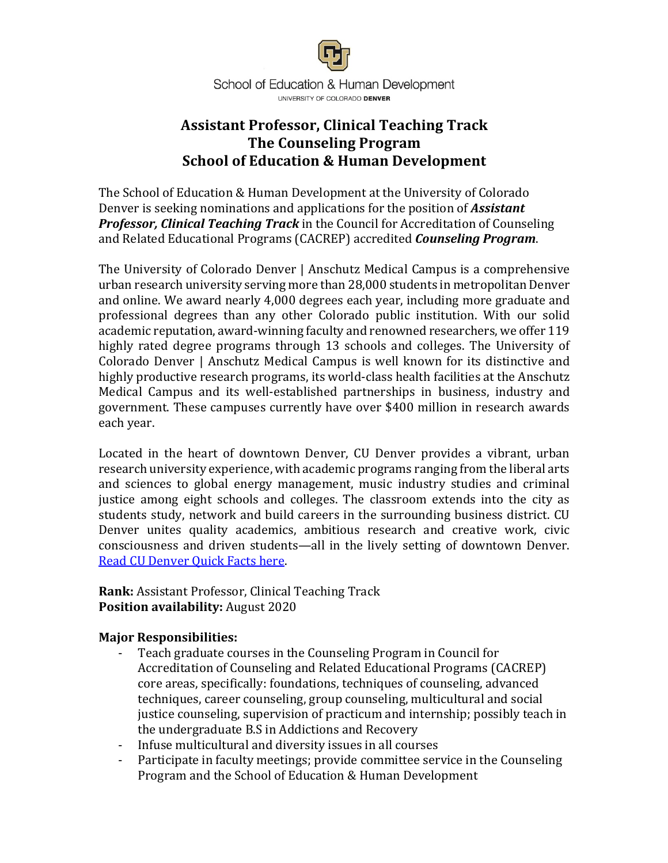

# **Assistant Professor, Clinical Teaching Track The Counseling Program School of Education & Human Development**

The School of Education & Human Development at the University of Colorado Denver is seeking nominations and applications for the position of **Assistant** *Professor, Clinical Teaching Track* in the Council for Accreditation of Counseling and Related Educational Programs (CACREP) accredited **Counseling Program**.

The University of Colorado Denver | Anschutz Medical Campus is a comprehensive urban research university serving more than 28,000 students in metropolitan Denver and online. We award nearly 4,000 degrees each year, including more graduate and professional degrees than any other Colorado public institution. With our solid academic reputation, award-winning faculty and renowned researchers, we offer 119 highly rated degree programs through 13 schools and colleges. The University of Colorado Denver | Anschutz Medical Campus is well known for its distinctive and highly productive research programs, its world-class health facilities at the Anschutz Medical Campus and its well-established partnerships in business, industry and government. These campuses currently have over \$400 million in research awards each year.

Located in the heart of downtown Denver, CU Denver provides a vibrant, urban research university experience, with academic programs ranging from the liberal arts and sciences to global energy management, music industry studies and criminal justice among eight schools and colleges. The classroom extends into the city as students study, network and build careers in the surrounding business district. CU Denver unites quality academics, ambitious research and creative work, civic consciousness and driven students—all in the lively setting of downtown Denver. Read CU Denver Ouick Facts here.

**Rank:** Assistant Professor, Clinical Teaching Track **Position availability:** August 2020

#### **Major Responsibilities:**

- Teach graduate courses in the Counseling Program in Council for Accreditation of Counseling and Related Educational Programs (CACREP) core areas, specifically: foundations, techniques of counseling, advanced techniques, career counseling, group counseling, multicultural and social justice counseling, supervision of practicum and internship; possibly teach in the undergraduate B.S in Addictions and Recovery
- Infuse multicultural and diversity issues in all courses
- Participate in faculty meetings; provide committee service in the Counseling Program and the School of Education & Human Development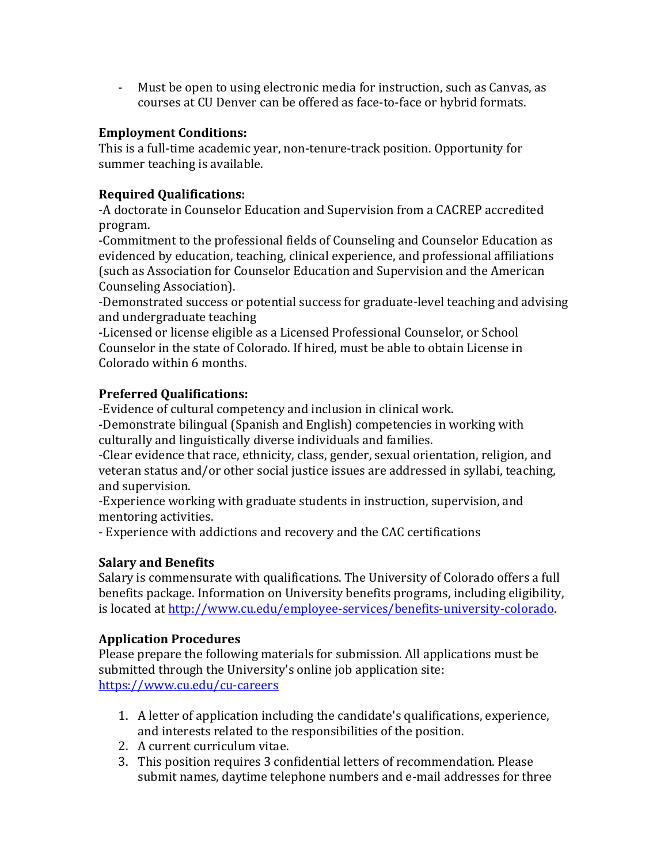- Must be open to using electronic media for instruction, such as Canvas, as courses at CU Denver can be offered as face-to-face or hybrid formats.

## **Employment Conditions:**

This is a full-time academic year, non-tenure-track position. Opportunity for summer teaching is available.

## **Required Qualifications:**

-A doctorate in Counselor Education and Supervision from a CACREP accredited program.

-Commitment to the professional fields of Counseling and Counselor Education as evidenced by education, teaching, clinical experience, and professional affiliations (such as Association for Counselor Education and Supervision and the American Counseling Association).

-Demonstrated success or potential success for graduate-level teaching and advising and undergraduate teaching

-Licensed or license eligible as a Licensed Professional Counselor, or School Counselor in the state of Colorado. If hired, must be able to obtain License in Colorado within 6 months.

## **Preferred Qualifications:**

-Evidence of cultural competency and inclusion in clinical work.

-Demonstrate bilingual (Spanish and English) competencies in working with culturally and linguistically diverse individuals and families.

-Clear evidence that race, ethnicity, class, gender, sexual orientation, religion, and veteran status and/or other social justice issues are addressed in syllabi, teaching, and supervision.

-Experience working with graduate students in instruction, supervision, and mentoring activities.

- Experience with addictions and recovery and the CAC certifications

#### **Salary and Benefits**

Salary is commensurate with qualifications. The University of Colorado offers a full benefits package. Information on University benefits programs, including eligibility, is located at http://www.cu.edu/employee-services/benefits-university-colorado.

## **Application Procedures**

Please prepare the following materials for submission. All applications must be submitted through the University's online job application site: https://www.cu.edu/cu-careers

- 1. A letter of application including the candidate's qualifications, experience, and interests related to the responsibilities of the position.
- 2. A current curriculum vitae.
- 3. This position requires 3 confidential letters of recommendation. Please submit names, daytime telephone numbers and e-mail addresses for three